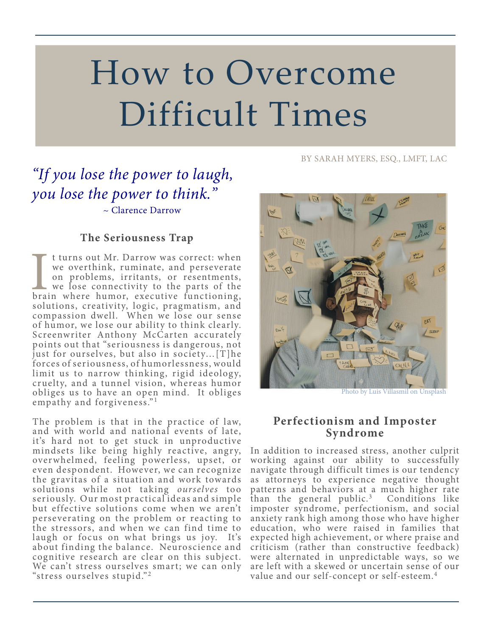# How to Overcome Difficult Times

#### BY SARAH MYERS, ESQ., LMFT, LAC

# *"If you lose the power to laugh, you lose the power to think."*

~ Clarence Darrow

### **The Seriousness Trap**

I turns out Mr. Darrow was correct: when<br>we overthink, ruminate, and perseverate<br>on problems, irritants, or resentments,<br>we lose connectivity to the parts of the<br>brain where humor, executive functioning, t turns out Mr. Darrow was correct: when we overthink, ruminate, and perseverate on problems, irritants, or resentments, we lose connectivity to the parts of the solutions, creativity, logic, pragmatism, and compassion dwell. When we lose our sense of humor, we lose our ability to think clearly. Screenwriter Anthony McCarten accurately points out that "seriousness is dangerous, not just for ourselves, but also in society…[T]he forces of seriousness, of humorlessness, would limit us to narrow thinking, rigid ideology, cruelty, and a tunnel vision, whereas humor obliges us to have an open mind. It obliges empathy and forgiveness."<sup>1</sup>

The problem is that in the practice of law, and with world and national events of late, it's hard not to get stuck in unproductive mindsets like being highly reactive, angry, over whelmed, feeling powerless, upset, or even despondent. However, we can recognize the gravitas of a situation and work towards solutions while not taking *ourselves* too seriously. Our most practical ideas and simple but effective solutions come when we aren't perseverating on the problem or reacting to the stressors, and when we can find time to laugh or focus on what brings us joy. It's about finding the balance. Neuroscience and cognitive research are clear on this subject. We can't stress ourselves smart; we can only "stress ourselves stupid." <sup>2</sup>



Photo by Luis Villasmil on Unsplash

#### **Perfectionism and Imposter Syndrome**

In addition to increased stress, another culprit working against our ability to successfully navigate through difficult times is our tendency as attorneys to experience negative thought patterns and behaviors at a much higher rate than the general public. $3$  Conditions like imposter syndrome, perfectionism, and social anxiety rank high among those who have higher education, who were raised in families that expected high achievement, or where praise and criticism (rather than constructive feedback) were alternated in unpredictable ways, so we are left with a skewed or uncertain sense of our value and our self-concept or self-esteem.4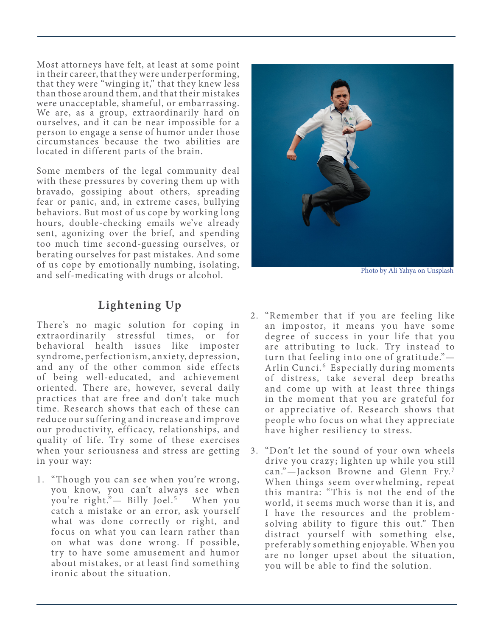Most attorneys have felt, at least at some point in their career, that they were underperforming, that they were "winging it," that they knew less than those around them, and that their mistakes were unacceptable, shameful, or embarrassing. We are, as a group, extraordinarily hard on ourselves, and it can be near impossible for a person to engage a sense of humor under those circumstances because the two abilities are located in different parts of the brain.

Some members of the legal community deal with these pressures by covering them up with bravado, gossiping about others, spreading fear or panic, and, in extreme cases, bullying behaviors. But most of us cope by working long hours, double-checking emails we've already sent, agonizing over the brief, and spending too much time second-guessing ourselves, or berating ourselves for past mistakes. And some of us cope by emotionally numbing, isolating, and self-medicating with drugs or alcohol.

## **Lightening Up**

There's no magic solution for coping in extraordinarily stressful times, or for behavioral health issues like imposter syndrome, perfectionism, anxiety, depression, and any of the other common side effects of being well-educated, and achievement oriented. There are, however, several daily practices that are free and don't take much time. Research shows that each of these can reduce our suffering and increase and improve our productivity, efficacy, relationships, and quality of life. Try some of these exercises when your seriousness and stress are getting in your way:

1. "Though you can see when you're wrong, you know, you can't always see when you're right." Billy Joel.<sup>5</sup> When you catch a mistake or an error, ask yourself what was done correctly or right, and focus on what you can learn rather than on what was done wrong. If possible, try to have some amusement and humor about mistakes, or at least find something ironic about the situation.



Photo by Ali Yahya on Unsplash

- 2. "Remember that if you are feeling like an impostor, it means you have some degree of success in your life that you are attributing to luck. Try instead to turn that feeling into one of gratitude."— Arlin Cunci.<sup>6</sup> Especially during moments of distress, take several deep breaths and come up with at least three things in the moment that you are grateful for or appreciative of. Research shows that people who focus on what they appreciate have higher resiliency to stress.
- 3. "Don't let the sound of your own wheels drive you crazy; lighten up while you still can."-Jackson Browne and Glenn Fry.7 When things seem overwhelming, repeat this mantra: "This is not the end of the world, it seems much worse than it is, and I have the resources and the problemsolving ability to figure this out." Then distract yourself with something else, preferably something enjoyable. When you are no longer upset about the situation, you will be able to find the solution.